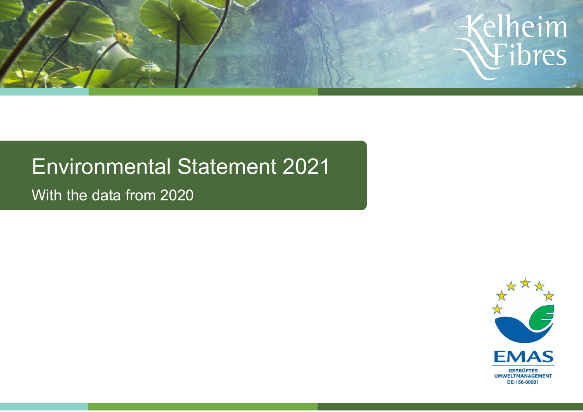

# Environmental Statement 2021

With the data from 2020

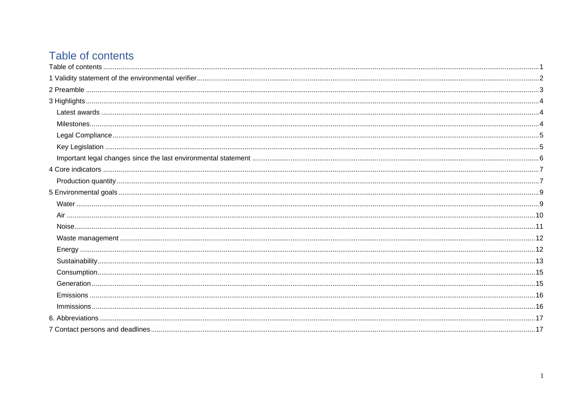# <span id="page-1-0"></span>Table of contents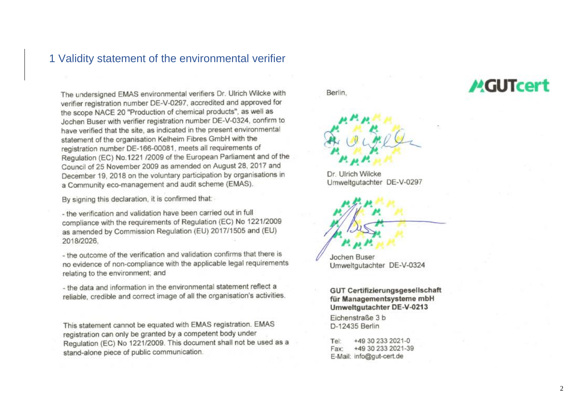### <span id="page-2-0"></span>1 Validity statement of the environmental verifier

The undersigned EMAS environmental verifiers Dr. Ulrich Wilcke with verifier registration number DE-V-0297, accredited and approved for the scope NACE 20 "Production of chemical products", as well as Jochen Buser with verifier registration number DE-V-0324, confirm to have verified that the site, as indicated in the present environmental statement of the organisation Kelheim Fibres GmbH with the registration number DE-166-00081, meets all requirements of Regulation (EC) No.1221 /2009 of the European Parliament and of the Council of 25 November 2009 as amended on August 28, 2017 and December 19, 2018 on the voluntary participation by organisations in a Community eco-management and audit scheme (EMAS).

By signing this declaration, it is confirmed that:

- the verification and validation have been carried out in full compliance with the requirements of Regulation (EC) No 1221/2009 as amended by Commission Regulation (EU) 2017/1505 and (EU) 2018/2026.

- the outcome of the verification and validation confirms that there is no evidence of non-compliance with the applicable legal requirements relating to the environment; and

- the data and information in the environmental statement reflect a reliable, credible and correct image of all the organisation's activities.

This statement cannot be equated with EMAS registration. EMAS registration can only be granted by a competent body under Regulation (EC) No 1221/2009. This document shall not be used as a stand-alone piece of public communication.

Berlin.



Dr. Ulrich Wilcke Umweltgutachter DE-V-0297



**Jochen Buser** Umweltgutachter DE-V-0324

**GUT Certifizierungsgesellschaft** für Managementsysteme mbH Umweltqutachter DE-V-0213

Eichenstraße 3 b D-12435 Berlin

+49 30 233 2021-0 Tel: +49 30 233 2021-39 Fax: E-Mail: info@gut-cert.de

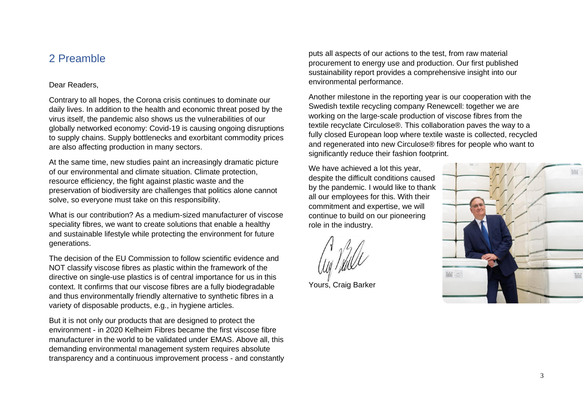## <span id="page-3-0"></span>2 Preamble

#### Dear Readers,

Contrary to all hopes, the Corona crisis continues to dominate our daily lives. In addition to the health and economic threat posed by the virus itself, the pandemic also shows us the vulnerabilities of our globally networked economy: Covid-19 is causing ongoing disruptions to supply chains. Supply bottlenecks and exorbitant commodity prices are also affecting production in many sectors.

At the same time, new studies paint an increasingly dramatic picture of our environmental and climate situation. Climate protection, resource efficiency, the fight against plastic waste and the preservation of biodiversity are challenges that politics alone cannot solve, so everyone must take on this responsibility.

What is our contribution? As a medium-sized manufacturer of viscose speciality fibres, we want to create solutions that enable a healthy and sustainable lifestyle while protecting the environment for future generations.

The decision of the EU Commission to follow scientific evidence and NOT classify viscose fibres as plastic within the framework of the directive on single-use plastics is of central importance for us in this context. It confirms that our viscose fibres are a fully biodegradable and thus environmentally friendly alternative to synthetic fibres in a variety of disposable products, e.g., in hygiene articles.

But it is not only our products that are designed to protect the environment - in 2020 Kelheim Fibres became the first viscose fibre manufacturer in the world to be validated under EMAS. Above all, this demanding environmental management system requires absolute transparency and a continuous improvement process - and constantly puts all aspects of our actions to the test, from raw material procurement to energy use and production. Our first published sustainability report provides a comprehensive insight into our environmental performance.

Another milestone in the reporting year is our cooperation with the Swedish textile recycling company Renewcell: together we are working on the large-scale production of viscose fibres from the textile recyclate Circulose®. This collaboration paves the way to a fully closed European loop where textile waste is collected, recycled and regenerated into new Circulose® fibres for people who want to significantly reduce their fashion footprint.

We have achieved a lot this year, despite the difficult conditions caused by the pandemic. I would like to thank all our employees for this. With their commitment and expertise, we will continue to build on our pioneering role in the industry.

Yours, Craig Barker

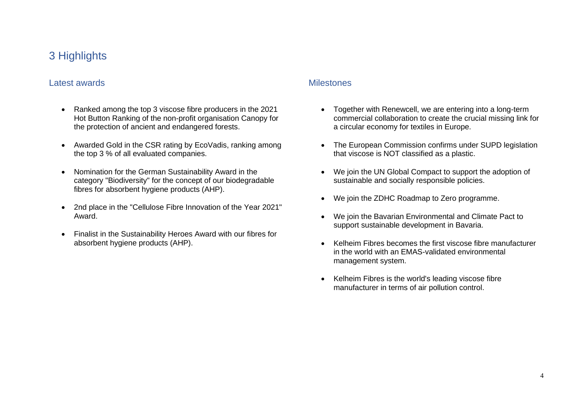# <span id="page-4-0"></span>3 Highlights

#### <span id="page-4-1"></span>Latest awards

- Ranked among the top 3 viscose fibre producers in the 2021 Hot Button Ranking of the non-profit organisation Canopy for the protection of ancient and endangered forests.
- Awarded Gold in the CSR rating by EcoVadis, ranking among the top 3 % of all evaluated companies.
- Nomination for the German Sustainability Award in the category "Biodiversity" for the concept of our biodegradable fibres for absorbent hygiene products (AHP).
- 2nd place in the "Cellulose Fibre Innovation of the Year 2021" Award.
- Finalist in the Sustainability Heroes Award with our fibres for absorbent hygiene products (AHP).

#### <span id="page-4-2"></span>**Milestones**

- Together with Renewcell, we are entering into a long-term commercial collaboration to create the crucial missing link for a circular economy for textiles in Europe.
- The European Commission confirms under SUPD legislation that viscose is NOT classified as a plastic.
- We join the UN Global Compact to support the adoption of sustainable and socially responsible policies.
- We join the ZDHC Roadmap to Zero programme.
- We join the Bavarian Environmental and Climate Pact to support sustainable development in Bavaria.
- Kelheim Fibres becomes the first viscose fibre manufacturer in the world with an EMAS-validated environmental management system.
- Kelheim Fibres is the world's leading viscose fibre manufacturer in terms of air pollution control.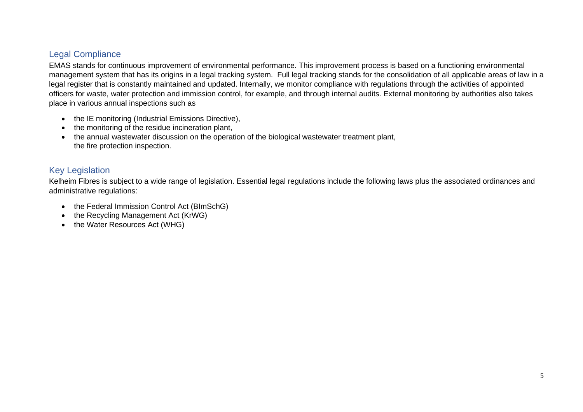### <span id="page-5-0"></span>Legal Compliance

EMAS stands for continuous improvement of environmental performance. This improvement process is based on a functioning environmental management system that has its origins in a legal tracking system. Full legal tracking stands for the consolidation of all applicable areas of law in a legal register that is constantly maintained and updated. Internally, we monitor compliance with regulations through the activities of appointed officers for waste, water protection and immission control, for example, and through internal audits. External monitoring by authorities also takes place in various annual inspections such as

- the IE monitoring (Industrial Emissions Directive),
- the monitoring of the residue incineration plant,
- the annual wastewater discussion on the operation of the biological wastewater treatment plant, the fire protection inspection.

### <span id="page-5-1"></span>Key Legislation

Kelheim Fibres is subject to a wide range of legislation. Essential legal regulations include the following laws plus the associated ordinances and administrative regulations:

- the Federal Immission Control Act (BImSchG)
- the Recycling Management Act (KrWG)
- the Water Resources Act (WHG)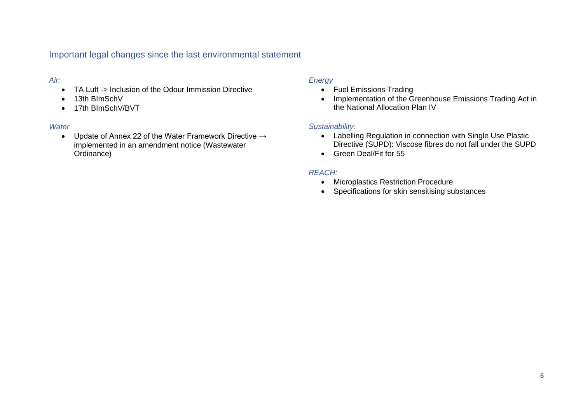<span id="page-6-0"></span>Important legal changes since the last environmental statement

#### *Air:*

- TA Luft -> Inclusion of the Odour Immission Directive
- 13th BImSchV
- 17th BlmSchV/BVT

#### *Water*

• Update of Annex 22 of the Water Framework Directive → implemented in an amendment notice (Wastewater Ordinance)

#### *Energy*

- Fuel Emissions Trading
- Implementation of the Greenhouse Emissions Trading Act in the National Allocation Plan IV

#### *Sustainability:*

- Labelling Regulation in connection with Single Use Plastic Directive (SUPD): Viscose fibres do not fall under the SUPD
- Green Deal/Fit for 55

#### *REACH:*

- Microplastics Restriction Procedure
- Specifications for skin sensitising substances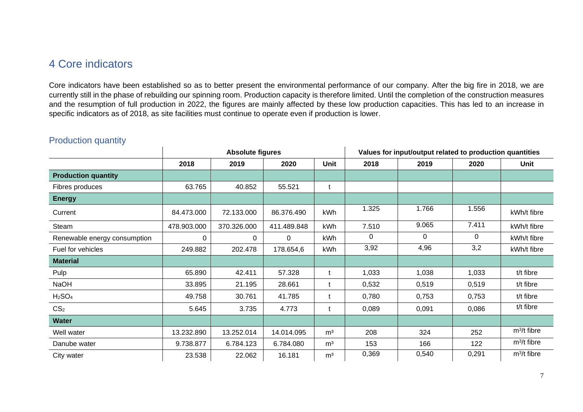# <span id="page-7-0"></span>4 Core indicators

Core indicators have been established so as to better present the environmental performance of our company. After the big fire in 2018, we are currently still in the phase of rebuilding our spinning room. Production capacity is therefore limited. Until the completion of the construction measures and the resumption of full production in 2022, the figures are mainly affected by these low production capacities. This has led to an increase in specific indicators as of 2018, as site facilities must continue to operate even if production is lower.

|                                |             | <b>Absolute figures</b> |             |                |       | Values for input/output related to production quantities |       |               |  |  |  |  |
|--------------------------------|-------------|-------------------------|-------------|----------------|-------|----------------------------------------------------------|-------|---------------|--|--|--|--|
|                                | 2018        | 2019                    | 2020        | <b>Unit</b>    | 2018  | 2019                                                     | 2020  | Unit          |  |  |  |  |
| <b>Production quantity</b>     |             |                         |             |                |       |                                                          |       |               |  |  |  |  |
| Fibres produces                | 63.765      | 40.852                  | 55.521      | t              |       |                                                          |       |               |  |  |  |  |
| <b>Energy</b>                  |             |                         |             |                |       |                                                          |       |               |  |  |  |  |
| Current                        | 84.473.000  | 72.133.000              | 86.376.490  | kWh            | 1.325 | 1.766                                                    | 1.556 | kWh/t fibre   |  |  |  |  |
| Steam                          | 478.903.000 | 370.326.000             | 411.489.848 | kWh            | 7.510 | 9.065                                                    | 7.411 | kWh/t fibre   |  |  |  |  |
| Renewable energy consumption   | 0           | 0                       | 0           | kWh            | 0     | $\Omega$                                                 | 0     | kWh/t fibre   |  |  |  |  |
| Fuel for vehicles              | 249.882     | 202.478                 | 178.654,6   | kWh            | 3,92  | 4,96                                                     | 3,2   | kWh/t fibre   |  |  |  |  |
| <b>Material</b>                |             |                         |             |                |       |                                                          |       |               |  |  |  |  |
| Pulp                           | 65.890      | 42.411                  | 57.328      | t              | 1,033 | 1,038                                                    | 1,033 | t/t fibre     |  |  |  |  |
| NaOH                           | 33.895      | 21.195                  | 28.661      | t              | 0,532 | 0,519                                                    | 0,519 | t/t fibre     |  |  |  |  |
| H <sub>2</sub> SO <sub>4</sub> | 49.758      | 30.761                  | 41.785      | t              | 0,780 | 0,753                                                    | 0,753 | t/t fibre     |  |  |  |  |
| CS <sub>2</sub>                | 5.645       | 3.735                   | 4.773       | t              | 0,089 | 0,091                                                    | 0,086 | t/t fibre     |  |  |  |  |
| <b>Water</b>                   |             |                         |             |                |       |                                                          |       |               |  |  |  |  |
| Well water                     | 13.232.890  | 13.252.014              | 14.014.095  | m <sup>3</sup> | 208   | 324                                                      | 252   | $m^3/t$ fibre |  |  |  |  |
| Danube water                   | 9.738.877   | 6.784.123               | 6.784.080   | m <sup>3</sup> | 153   | 166                                                      | 122   | $m^3/t$ fibre |  |  |  |  |
| City water                     | 23.538      | 22.062                  | 16.181      | m <sup>3</sup> | 0,369 | 0,540                                                    | 0,291 | $m^3/t$ fibre |  |  |  |  |

### <span id="page-7-1"></span>Production quantity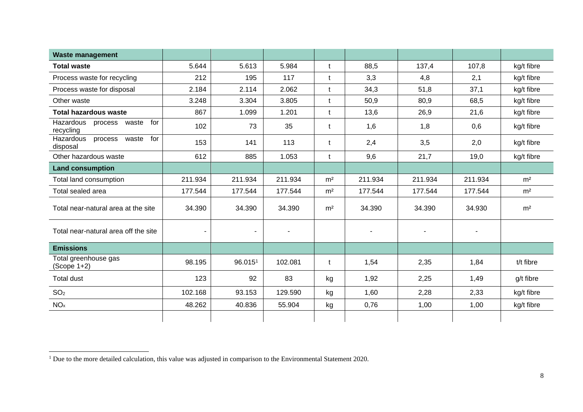| <b>Waste management</b>                        |                |                |         |                |         |                |                |                |
|------------------------------------------------|----------------|----------------|---------|----------------|---------|----------------|----------------|----------------|
| <b>Total waste</b>                             | 5.644          | 5.613          | 5.984   | $\mathbf t$    | 88,5    | 137,4          | 107,8          | kg/t fibre     |
| Process waste for recycling                    | 212            | 195            | 117     | t              | 3,3     | 4,8            | 2,1            | kg/t fibre     |
| Process waste for disposal                     | 2.184          | 2.114          | 2.062   | t              | 34,3    | 51,8           | 37,1           | kg/t fibre     |
| Other waste                                    | 3.248          | 3.304          | 3.805   | t              | 50,9    | 80,9           | 68,5           | kg/t fibre     |
| <b>Total hazardous waste</b>                   | 867            | 1.099          | 1.201   | t              | 13,6    | 26,9           | 21,6           | kg/t fibre     |
| Hazardous<br>for<br>process waste<br>recycling | 102            | 73             | 35      | t              | 1,6     | 1,8            | 0,6            | kg/t fibre     |
| for<br>Hazardous<br>process waste<br>disposal  | 153            | 141            | 113     | t              | 2,4     | 3,5            | 2,0            | kg/t fibre     |
| Other hazardous waste                          | 612            | 885            | 1.053   | t              | 9,6     | 21,7           | 19,0           | kg/t fibre     |
| <b>Land consumption</b>                        |                |                |         |                |         |                |                |                |
| Total land consumption                         | 211.934        | 211.934        | 211.934 | m <sup>2</sup> | 211.934 | 211.934        | 211.934        | m <sup>2</sup> |
| Total sealed area                              | 177.544        | 177.544        | 177.544 | m <sup>2</sup> | 177.544 | 177.544        | 177.544        | m <sup>2</sup> |
| Total near-natural area at the site            | 34.390         | 34.390         | 34.390  | m <sup>2</sup> | 34.390  | 34.390         | 34.930         | m <sup>2</sup> |
| Total near-natural area off the site           | $\blacksquare$ | $\blacksquare$ | ٠       |                |         | $\blacksquare$ | $\blacksquare$ |                |
| <b>Emissions</b>                               |                |                |         |                |         |                |                |                |
| Total greenhouse gas<br>$(Scope 1+2)$          | 98.195         | 96.0151        | 102.081 | t              | 1,54    | 2,35           | 1,84           | t/t fibre      |
| <b>Total dust</b>                              | 123            | 92             | 83      | kg             | 1,92    | 2,25           | 1,49           | g/t fibre      |
| SO <sub>2</sub>                                | 102.168        | 93.153         | 129.590 | kg             | 1,60    | 2,28           | 2,33           | kg/t fibre     |
| NO <sub>x</sub>                                | 48.262         | 40.836         | 55.904  | kg             | 0,76    | 1,00           | 1,00           | kg/t fibre     |
|                                                |                |                |         |                |         |                |                |                |

<sup>&</sup>lt;sup>1</sup> Due to the more detailed calculation, this value was adjusted in comparison to the Environmental Statement 2020.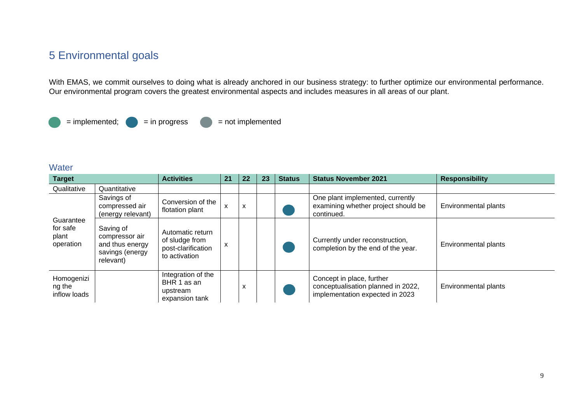# <span id="page-9-0"></span>5 Environmental goals

With EMAS, we commit ourselves to doing what is already anchored in our business strategy: to further optimize our environmental performance. Our environmental program covers the greatest environmental aspects and includes measures in all areas of our plant.



#### <span id="page-9-1"></span>**Water**

| <b>Target</b>                               |                                                                                | <b>Activities</b>                                                         | 21 | 22 | 23 | <b>Status</b> | <b>Status November 2021</b>                                                                        | <b>Responsibility</b>       |
|---------------------------------------------|--------------------------------------------------------------------------------|---------------------------------------------------------------------------|----|----|----|---------------|----------------------------------------------------------------------------------------------------|-----------------------------|
| Qualitative                                 | Quantitative                                                                   |                                                                           |    |    |    |               |                                                                                                    |                             |
|                                             | Savings of<br>compressed air<br>(energy relevant)                              | Conversion of the<br>flotation plant                                      | X  | X  |    |               | One plant implemented, currently<br>examining whether project should be<br>continued.              | <b>Environmental plants</b> |
| Guarantee<br>for safe<br>plant<br>operation | Saving of<br>compressor air<br>and thus energy<br>savings (energy<br>relevant) | Automatic return<br>of sludge from<br>post-clarification<br>to activation | X  |    |    |               | Currently under reconstruction,<br>completion by the end of the year.                              | Environmental plants        |
| Homogenizi<br>ng the<br>inflow loads        |                                                                                | Integration of the<br>BHR 1 as an<br>upstream<br>expansion tank           |    | X  |    |               | Concept in place, further<br>conceptualisation planned in 2022,<br>implementation expected in 2023 | Environmental plants        |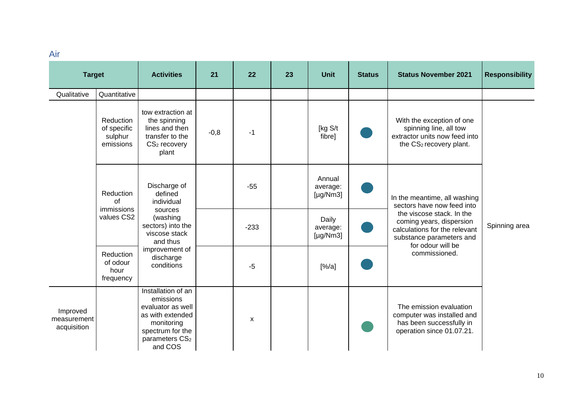<span id="page-10-0"></span>Air

| <b>Target</b>                          |                                                         | <b>Activities</b>                                                                                                                                   | 21     | 22     | 23 | <b>Unit</b>                          | <b>Status</b> | <b>Status November 2021</b>                                                                                                             | <b>Responsibility</b> |
|----------------------------------------|---------------------------------------------------------|-----------------------------------------------------------------------------------------------------------------------------------------------------|--------|--------|----|--------------------------------------|---------------|-----------------------------------------------------------------------------------------------------------------------------------------|-----------------------|
| Qualitative                            | Quantitative                                            |                                                                                                                                                     |        |        |    |                                      |               |                                                                                                                                         |                       |
|                                        | <b>Reduction</b><br>of specific<br>sulphur<br>emissions | tow extraction at<br>the spinning<br>lines and then<br>transfer to the<br>CS <sub>2</sub> recovery<br>plant                                         | $-0,8$ | $-1$   |    | [kg S/t<br>fibre]                    |               | With the exception of one<br>spinning line, all tow<br>extractor units now feed into<br>the CS2 recovery plant.                         |                       |
|                                        | Reduction<br>of                                         | Discharge of<br>defined<br>individual                                                                                                               |        | $-55$  |    | Annual<br>average:<br>[ $\mu$ g/Nm3] |               | In the meantime, all washing<br>sectors have now feed into                                                                              |                       |
|                                        | immissions<br>values CS2                                | sources<br>(washing<br>sectors) into the<br>viscose stack<br>and thus                                                                               |        | $-233$ |    | Daily<br>average:<br>[ $\mu$ g/Nm3]  |               | the viscose stack. In the<br>coming years, dispersion<br>calculations for the relevant<br>substance parameters and<br>for odour will be | Spinning area         |
|                                        | <b>Reduction</b><br>of odour<br>hour<br>frequency       | improvement of<br>discharge<br>conditions                                                                                                           |        | $-5$   |    | [%/a]                                |               | commissioned.                                                                                                                           |                       |
| Improved<br>measurement<br>acquisition |                                                         | Installation of an<br>emissions<br>evaluator as well<br>as with extended<br>monitoring<br>spectrum for the<br>parameters CS <sub>2</sub><br>and COS |        | X      |    |                                      |               | The emission evaluation<br>computer was installed and<br>has been successfully in<br>operation since 01.07.21.                          |                       |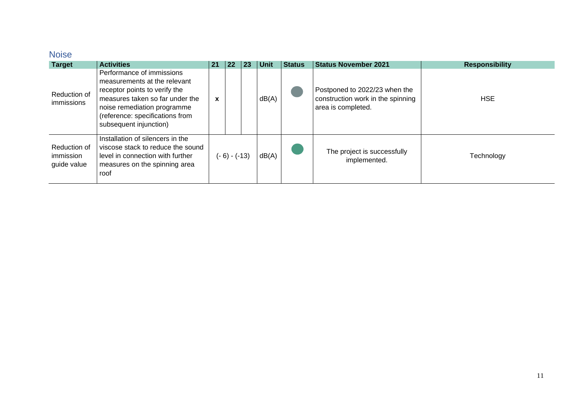# <span id="page-11-0"></span>Noise

| <b>Target</b>                            | <b>Activities</b>                                                                                                                                                                                                         | 21 | 22             | 23 | <b>Unit</b> | <b>Status</b> | <b>Status November 2021</b>                                                              | <b>Responsibility</b> |
|------------------------------------------|---------------------------------------------------------------------------------------------------------------------------------------------------------------------------------------------------------------------------|----|----------------|----|-------------|---------------|------------------------------------------------------------------------------------------|-----------------------|
| Reduction of<br>immissions               | Performance of immissions<br>measurements at the relevant<br>receptor points to verify the<br>measures taken so far under the<br>noise remediation programme<br>(reference: specifications from<br>subsequent injunction) | X  |                |    | dB(A)       |               | Postponed to 2022/23 when the<br>construction work in the spinning<br>area is completed. | <b>HSE</b>            |
| Reduction of<br>immission<br>guide value | Installation of silencers in the<br>viscose stack to reduce the sound<br>level in connection with further<br>measures on the spinning area<br>roof                                                                        |    | $(-6) - (-13)$ |    | dB(A)       |               | The project is successfully<br>implemented.                                              | Technology            |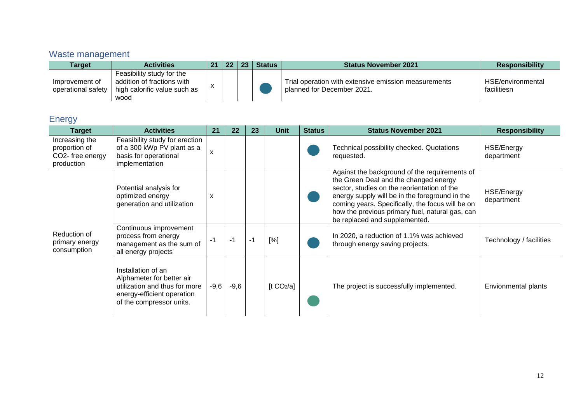# <span id="page-12-0"></span>Waste management

| Tarqet                               | <b>Activities</b>                                                                               | $21 \mid 22 \mid$ | -23 | <b>Status</b> | <b>Status November 2021</b>                                                        | <b>Responsibility</b>            |
|--------------------------------------|-------------------------------------------------------------------------------------------------|-------------------|-----|---------------|------------------------------------------------------------------------------------|----------------------------------|
| Improvement of<br>operational safety | Feasibility study for the<br>addition of fractions with<br>high calorific value such as<br>wood |                   |     |               | Trial operation with extensive emission measurements<br>planned for December 2021. | HSE/environmental<br>facilitiesn |

# <span id="page-12-1"></span>**Energy**

| <b>Target</b>                                                     | <b>Activities</b>                                                                                                                          | 21     | 22     | 23 | <b>Unit</b>            | <b>Status</b> | <b>Status November 2021</b>                                                                                                                                                                                                                                                                                                     | <b>Responsibility</b>           |
|-------------------------------------------------------------------|--------------------------------------------------------------------------------------------------------------------------------------------|--------|--------|----|------------------------|---------------|---------------------------------------------------------------------------------------------------------------------------------------------------------------------------------------------------------------------------------------------------------------------------------------------------------------------------------|---------------------------------|
| Increasing the<br>proportion of<br>CO2- free energy<br>production | Feasibility study for erection<br>of a 300 kWp PV plant as a<br>basis for operational<br>implementation                                    | X      |        |    |                        |               | Technical possibility checked. Quotations<br>requested.                                                                                                                                                                                                                                                                         | HSE/Energy<br>department        |
|                                                                   | Potential analysis for<br>optimized energy<br>generation and utilization                                                                   | X      |        |    |                        |               | Against the background of the requirements of<br>the Green Deal and the changed energy<br>sector, studies on the reorientation of the<br>energy supply will be in the foreground in the<br>coming years. Specifically, the focus will be on<br>how the previous primary fuel, natural gas, can<br>be replaced and supplemented. | <b>HSE/Energy</b><br>department |
| Reduction of<br>primary energy<br>consumption                     | Continuous improvement<br>process from energy<br>management as the sum of<br>all energy projects                                           | $-1$   | $-1$   | -1 | [%]                    |               | In 2020, a reduction of 1.1% was achieved<br>through energy saving projects.                                                                                                                                                                                                                                                    | Technology / facilities         |
|                                                                   | Installation of an<br>Alphameter for better air<br>utilization and thus for more<br>energy-efficient operation<br>of the compressor units. | $-9,6$ | $-9,6$ |    | [t CO <sub>2</sub> /a] |               | The project is successfully implemented.                                                                                                                                                                                                                                                                                        | Envionmental plants             |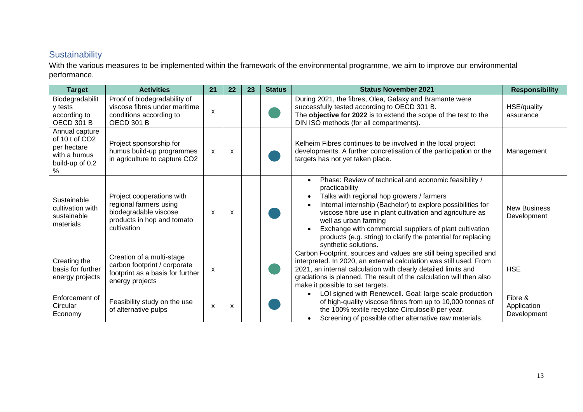### <span id="page-13-0"></span>**Sustainability**

With the various measures to be implemented within the framework of the environmental programme, we aim to improve our environmental performance.

| <b>Target</b>                                                                           | <b>Activities</b>                                                                                                         | 21 | 22 | 23 | <b>Status</b> | <b>Status November 2021</b>                                                                                                                                                                                                                                                                                                                                                                                                                                                       | <b>Responsibility</b>                 |
|-----------------------------------------------------------------------------------------|---------------------------------------------------------------------------------------------------------------------------|----|----|----|---------------|-----------------------------------------------------------------------------------------------------------------------------------------------------------------------------------------------------------------------------------------------------------------------------------------------------------------------------------------------------------------------------------------------------------------------------------------------------------------------------------|---------------------------------------|
| Biodegradabilit<br>y tests<br>according to<br><b>OECD 301 B</b>                         | Proof of biodegradability of<br>viscose fibres under maritime<br>conditions according to<br><b>OECD 301 B</b>             | X  |    |    |               | During 2021, the fibres, Olea, Galaxy and Bramante were<br>successfully tested according to OECD 301 B.<br>The objective for 2022 is to extend the scope of the test to the<br>DIN ISO methods (for all compartments).                                                                                                                                                                                                                                                            | HSE/quality<br>assurance              |
| Annual capture<br>of 10 t of CO2<br>per hectare<br>with a humus<br>build-up of 0.2<br>% | Project sponsorship for<br>humus build-up programmes<br>in agriculture to capture CO2                                     | X  | X  |    |               | Kelheim Fibres continues to be involved in the local project<br>developments. A further concretisation of the participation or the<br>targets has not yet taken place.                                                                                                                                                                                                                                                                                                            | Management                            |
| Sustainable<br>cultivation with<br>sustainable<br>materials                             | Project cooperations with<br>regional farmers using<br>biodegradable viscose<br>products in hop and tomato<br>cultivation | X  | X  |    |               | Phase: Review of technical and economic feasibility /<br>$\bullet$<br>practicability<br>Talks with regional hop growers / farmers<br>$\bullet$<br>Internal internship (Bachelor) to explore possibilities for<br>$\bullet$<br>viscose fibre use in plant cultivation and agriculture as<br>well as urban farming<br>Exchange with commercial suppliers of plant cultivation<br>$\bullet$<br>products (e.g. string) to clarify the potential for replacing<br>synthetic solutions. | <b>New Business</b><br>Development    |
| Creating the<br>basis for further<br>energy projects                                    | Creation of a multi-stage<br>carbon footprint / corporate<br>footprint as a basis for further<br>energy projects          | X  |    |    |               | Carbon Footprint, sources and values are still being specified and<br>interpreted. In 2020, an external calculation was still used. From<br>2021, an internal calculation with clearly detailed limits and<br>gradations is planned. The result of the calculation will then also<br>make it possible to set targets.                                                                                                                                                             | <b>HSE</b>                            |
| Enforcement of<br>Circular<br>Economy                                                   | Feasibility study on the use<br>of alternative pulps                                                                      | X  | X  |    |               | LOI signed with Renewcell. Goal: large-scale production<br>$\bullet$<br>of high-quality viscose fibres from up to 10,000 tonnes of<br>the 100% textile recyclate Circulose® per year.<br>Screening of possible other alternative raw materials.<br>$\bullet$                                                                                                                                                                                                                      | Fibre &<br>Application<br>Development |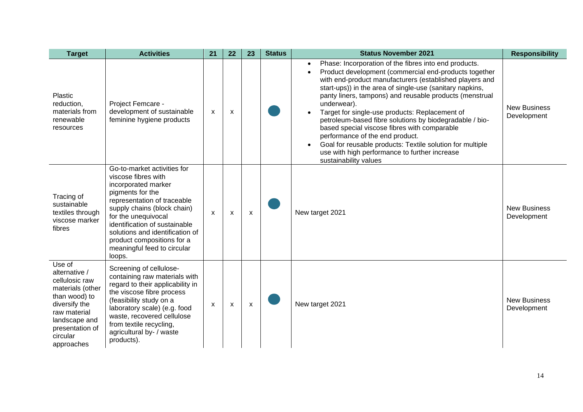| <b>Target</b>                                                                                                                                                                 | <b>Activities</b>                                                                                                                                                                                                                                                                                                             | 21                        | 22 | 23                        | <b>Status</b> | <b>Status November 2021</b>                                                                                                                                                                                                                                                                                                                                                                                                                                                                                                                                                                                                                                                                                | <b>Responsibility</b>              |
|-------------------------------------------------------------------------------------------------------------------------------------------------------------------------------|-------------------------------------------------------------------------------------------------------------------------------------------------------------------------------------------------------------------------------------------------------------------------------------------------------------------------------|---------------------------|----|---------------------------|---------------|------------------------------------------------------------------------------------------------------------------------------------------------------------------------------------------------------------------------------------------------------------------------------------------------------------------------------------------------------------------------------------------------------------------------------------------------------------------------------------------------------------------------------------------------------------------------------------------------------------------------------------------------------------------------------------------------------------|------------------------------------|
| Plastic<br>reduction,<br>materials from<br>renewable<br>resources                                                                                                             | Project Femcare -<br>development of sustainable<br>feminine hygiene products                                                                                                                                                                                                                                                  | $\boldsymbol{\mathsf{x}}$ | X  |                           |               | Phase: Incorporation of the fibres into end products.<br>$\bullet$<br>Product development (commercial end-products together<br>$\bullet$<br>with end-product manufacturers (established players and<br>start-ups)) in the area of single-use (sanitary napkins,<br>panty liners, tampons) and reusable products (menstrual<br>underwear).<br>Target for single-use products: Replacement of<br>$\bullet$<br>petroleum-based fibre solutions by biodegradable / bio-<br>based special viscose fibres with comparable<br>performance of the end product.<br>Goal for reusable products: Textile solution for multiple<br>$\bullet$<br>use with high performance to further increase<br>sustainability values | <b>New Business</b><br>Development |
| Tracing of<br>sustainable<br>textiles through<br>viscose marker<br>fibres                                                                                                     | Go-to-market activities for<br>viscose fibres with<br>incorporated marker<br>pigments for the<br>representation of traceable<br>supply chains (block chain)<br>for the unequivocal<br>identification of sustainable<br>solutions and identification of<br>product compositions for a<br>meaningful feed to circular<br>loops. | $\boldsymbol{\mathsf{x}}$ | X  | $\boldsymbol{\mathsf{x}}$ |               | New target 2021                                                                                                                                                                                                                                                                                                                                                                                                                                                                                                                                                                                                                                                                                            | <b>New Business</b><br>Development |
| Use of<br>alternative /<br>cellulosic raw<br>materials (other<br>than wood) to<br>diversify the<br>raw material<br>landscape and<br>presentation of<br>circular<br>approaches | Screening of cellulose-<br>containing raw materials with<br>regard to their applicability in<br>the viscose fibre process<br>(feasibility study on a<br>laboratory scale) (e.g. food<br>waste, recovered cellulose<br>from textile recycling,<br>agricultural by- / waste<br>products).                                       | $\mathsf{x}$              | X  | $\boldsymbol{\mathsf{x}}$ |               | New target 2021                                                                                                                                                                                                                                                                                                                                                                                                                                                                                                                                                                                                                                                                                            | <b>New Business</b><br>Development |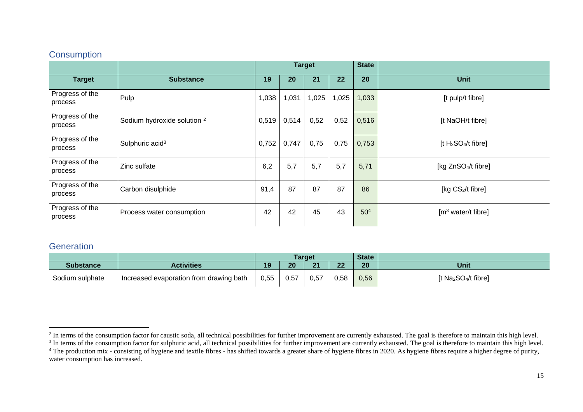### <span id="page-15-0"></span>**Consumption**

|                            |                                        |       | <b>Target</b> |       |       | <b>State</b>    |                                             |  |
|----------------------------|----------------------------------------|-------|---------------|-------|-------|-----------------|---------------------------------------------|--|
| <b>Target</b>              | <b>Substance</b>                       | 19    | 20            | 21    | 22    | 20              | <b>Unit</b>                                 |  |
| Progress of the<br>process | Pulp                                   | 1,038 | 1,031         | 1,025 | 1,025 | 1,033           | [t pulp/t fibre]                            |  |
| Progress of the<br>process | Sodium hydroxide solution <sup>2</sup> | 0,519 | 0,514         | 0,52  | 0,52  | 0,516           | [t NaOH/t fibre]                            |  |
| Progress of the<br>process | Sulphuric acid <sup>3</sup>            | 0,752 | 0,747         | 0,75  | 0,75  | 0,753           | [t H <sub>2</sub> SO <sub>4</sub> /t fibre] |  |
| Progress of the<br>process | Zinc sulfate                           | 6,2   | 5,7           | 5,7   | 5,7   | 5,71            | [kg ZnSO <sub>4</sub> /t fibre]             |  |
| Progress of the<br>process | Carbon disulphide                      | 91,4  | 87            | 87    | 87    | 86              | [kg CS2/t fibre]                            |  |
| Progress of the<br>process | Process water consumption              | 42    | 42            | 45    | 43    | 50 <sup>4</sup> | [m <sup>3</sup> water/t fibre]              |  |

### <span id="page-15-1"></span>**Generation**

|                  |                                         |      |      | Target |           | <b>State</b> |                                              |
|------------------|-----------------------------------------|------|------|--------|-----------|--------------|----------------------------------------------|
| <b>Substance</b> | <b>Activities</b>                       | 19   | 20   | 21     | nn.<br>LL | 20           | <b>Unit</b>                                  |
| Sodium sulphate  | Increased evaporation from drawing bath | 0,55 | 0,57 | 0,57   | 0,58      | 0,56         | [t Na <sub>2</sub> SO <sub>4</sub> /t fibre] |

 $2$  In terms of the consumption factor for caustic soda, all technical possibilities for further improvement are currently exhausted. The goal is therefore to maintain this high level.

<sup>&</sup>lt;sup>3</sup> In terms of the consumption factor for sulphuric acid, all technical possibilities for further improvement are currently exhausted. The goal is therefore to maintain this high level. <sup>4</sup> The production mix - consisting of hygiene and textile fibres - has shifted towards a greater share of hygiene fibres in 2020. As hygiene fibres require a higher degree of purity, water consumption has increased.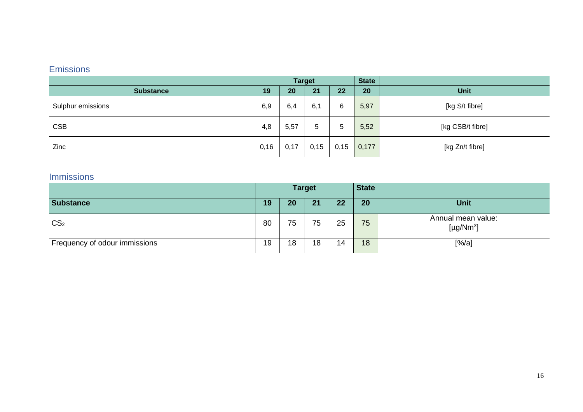### <span id="page-16-0"></span>Emissions

|                   | <b>Target</b> |      |      |      | <b>State</b> |                  |
|-------------------|---------------|------|------|------|--------------|------------------|
| <b>Substance</b>  | 19            | 20   | 21   | 22   | 20           | <b>Unit</b>      |
| Sulphur emissions | 6,9           | 6,4  | 6,1  | 6    | 5,97         | [kg S/t fibre]   |
| <b>CSB</b>        | 4,8           | 5,57 | 5    | 5    | 5,52         | [kg CSB/t fibre] |
| Zinc              | 0,16          | 0,17 | 0,15 | 0,15 | 0,177        | [kg Zn/t fibre]  |

### <span id="page-16-1"></span>Immissions

|                               | <b>Target</b> |    |    |    | <b>State</b> |                                                   |
|-------------------------------|---------------|----|----|----|--------------|---------------------------------------------------|
| <b>Substance</b>              | 19            | 20 | 21 | 22 | 20           | <b>Unit</b>                                       |
| CS <sub>2</sub>               | 80            | 75 | 75 | 25 | 75           | Annual mean value:<br>[ $\mu$ g/Nm <sup>3</sup> ] |
| Frequency of odour immissions | 19            | 18 | 18 | 14 | 18           | [%/a]                                             |